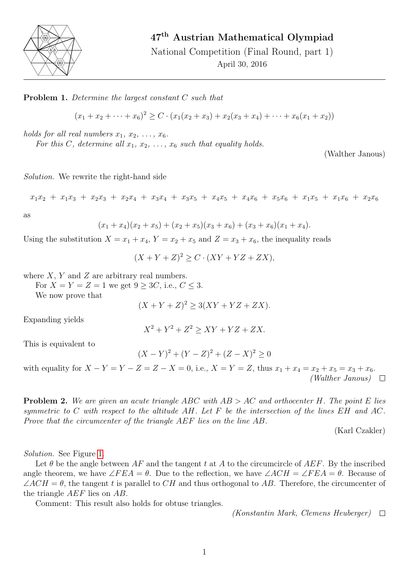

## 47th Austrian Mathematical Olympiad

National Competition (Final Round, part 1) April 30, 2016

Problem 1. Determine the largest constant C such that

 $(x_1 + x_2 + \cdots + x_6)^2 \ge C \cdot (x_1(x_2 + x_3) + x_2(x_3 + x_4) + \cdots + x_6(x_1 + x_2))$ 

holds for all real numbers  $x_1, x_2, \ldots, x_6$ .

For this C, determine all  $x_1, x_2, \ldots, x_6$  such that equality holds.

(Walther Janous)

Solution. We rewrite the right-hand side

$$
x_1x_2 + x_1x_3 + x_2x_3 + x_2x_4 + x_3x_4 + x_3x_5 + x_4x_5 + x_4x_6 + x_5x_6 + x_1x_5 + x_1x_6 + x_2x_6
$$

as

$$
(x_1+x_4)(x_2+x_5)+(x_2+x_5)(x_3+x_6)+(x_3+x_6)(x_1+x_4).
$$

Using the substitution  $X = x_1 + x_4$ ,  $Y = x_2 + x_5$  and  $Z = x_3 + x_6$ , the inequality reads

 $(X+Y+Z)^2 \geq C \cdot (XY+YZ+ZX),$ 

where  $X, Y$  and  $Z$  are arbitrary real numbers.

For  $X = Y = Z = 1$  we get  $9 \ge 3C$ , i.e.,  $C \le 3$ .

We now prove that

$$
(X+Y+Z)^2 \ge 3(XY+YZ+ZX).
$$

Expanding yields

$$
X^2 + Y^2 + Z^2 \ge XY + YZ + ZX.
$$

This is equivalent to

$$
(X - Y)^2 + (Y - Z)^2 + (Z - X)^2 \ge 0
$$

with equality for  $X - Y = Y - Z = Z - X = 0$ , i.e.,  $X = Y = Z$ , thus  $x_1 + x_4 = x_2 + x_5 = x_3 + x_6$ . (Walther Janous)  $\Box$ 

**Problem 2.** We are given an acute triangle ABC with  $AB > AC$  and orthocenter H. The point E lies symmetric to C with respect to the altitude AH. Let F be the intersection of the lines  $EH$  and AC. Prove that the circumcenter of the triangle AEF lies on the line AB.

(Karl Czakler)

Solution. See Figure [1.](#page-1-0)

Let  $\theta$  be the angle between AF and the tangent t at A to the circumcircle of AEF. By the inscribed angle theorem, we have  $\angle FEA = \theta$ . Due to the reflection, we have  $\angle ACH = \angle FEA = \theta$ . Because of  $\angle ACH = \theta$ , the tangent t is parallel to CH and thus orthogonal to AB. Therefore, the circumcenter of the triangle AEF lies on AB.

Comment: This result also holds for obtuse triangles.

(Konstantin Mark, Clemens Heuberger)  $\Box$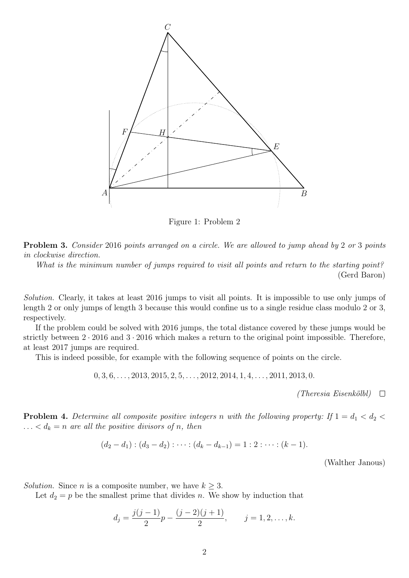

<span id="page-1-0"></span>Figure 1: Problem 2

Problem 3. Consider 2016 points arranged on a circle. We are allowed to jump ahead by 2 or 3 points in clockwise direction.

What is the minimum number of jumps required to visit all points and return to the starting point? (Gerd Baron)

Solution. Clearly, it takes at least 2016 jumps to visit all points. It is impossible to use only jumps of length 2 or only jumps of length 3 because this would confine us to a single residue class modulo 2 or 3, respectively.

If the problem could be solved with 2016 jumps, the total distance covered by these jumps would be strictly between  $2 \cdot 2016$  and  $3 \cdot 2016$  which makes a return to the original point impossible. Therefore, at least 2017 jumps are required.

This is indeed possible, for example with the following sequence of points on the circle.

$$
0, 3, 6, \ldots, 2013, 2015, 2, 5, \ldots, 2012, 2014, 1, 4, \ldots, 2011, 2013, 0.
$$

(Theresia Eisenkölbl)  $\square$ 

**Problem 4.** Determine all composite positive integers n with the following property: If  $1 = d_1 < d_2 <$  $\ldots < d_k = n$  are all the positive divisors of n, then

$$
(d_2-d_1):(d_3-d_2): \cdots: (d_k-d_{k-1})=1:2:\cdots: (k-1).
$$

(Walther Janous)

Solution. Since *n* is a composite number, we have  $k \geq 3$ .

Let  $d_2 = p$  be the smallest prime that divides n. We show by induction that

$$
d_j = \frac{j(j-1)}{2}p - \frac{(j-2)(j+1)}{2}, \qquad j = 1, 2, \dots, k.
$$